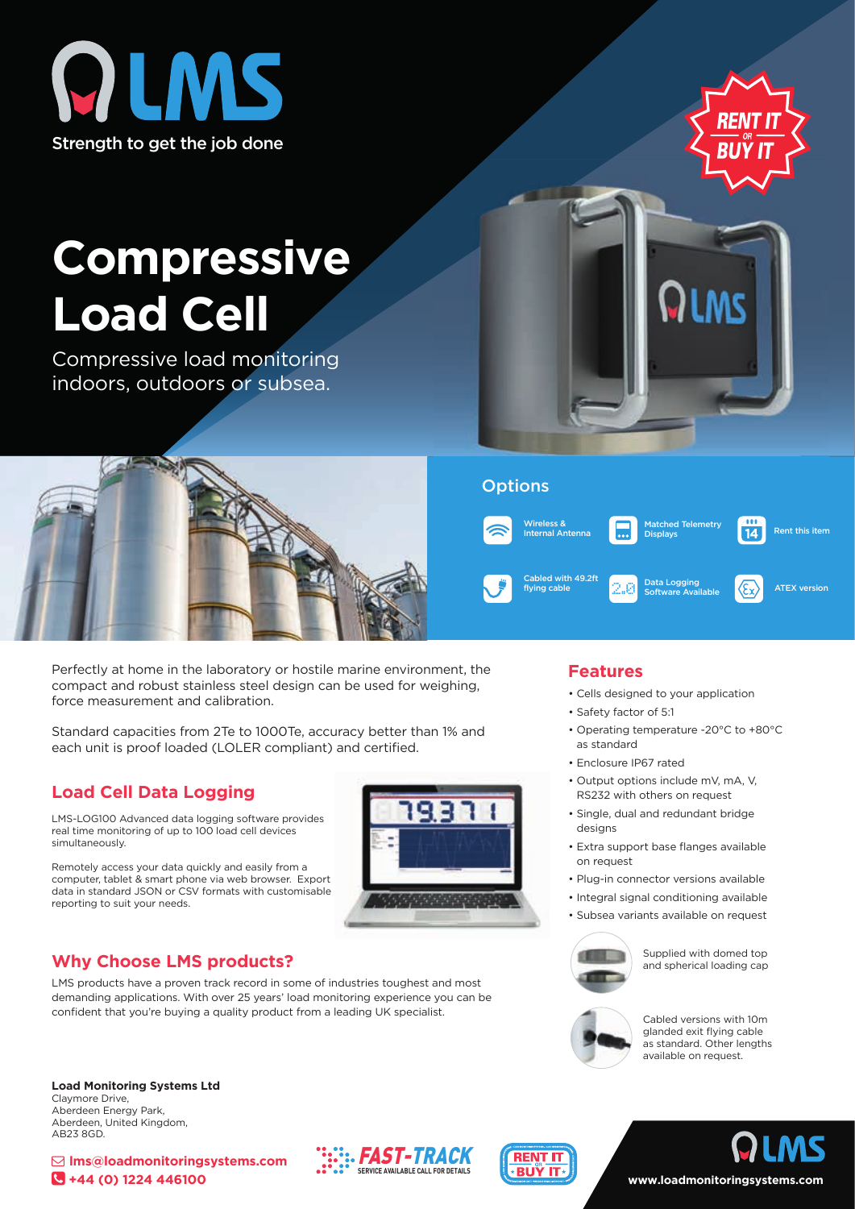



# **Compressive Load Cell**

Compressive load monitoring indoors, outdoors or subsea.



Perfectly at home in the laboratory or hostile marine environment, the compact and robust stainless steel design can be used for weighing, force measurement and calibration.

Standard capacities from 2Te to 1000Te, accuracy better than 1% and each unit is proof loaded (LOLER compliant) and certified.

## **Load Cell Data Logging**

LMS-LOG100 Advanced data logging software provides real time monitoring of up to 100 load cell devices simultaneously.

Remotely access your data quickly and easily from a computer, tablet & smart phone via web browser. Export data in standard JSON or CSV formats with customisable reporting to suit your needs.



## **Why Choose LMS products?**

LMS products have a proven track record in some of industries toughest and most demanding applications. With over 25 years' load monitoring experience you can be confident that you're buying a quality product from a leading UK specialist.

**Load Monitoring Systems Ltd** Claymore Drive, Aberdeen Energy Park, Aberdeen, United Kingdom, AB23 8GD.





## **Features**

- Cells designed to your application
- Safety factor of 5:1
- Operating temperature -20°C to +80°C as standard
- Enclosure IP67 rated
- Output options include mV, mA, V, RS232 with others on request
- Single, dual and redundant bridge designs
- Extra support base flanges available on request
- Plug-in connector versions available
- Integral signal conditioning available
- Subsea variants available on request



Supplied with domed top and spherical loading cap



**www.loadmonitoringsystems.com**